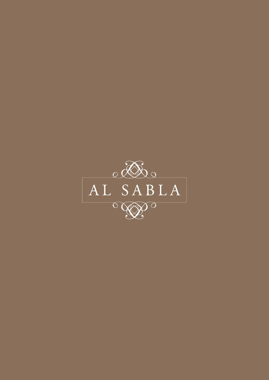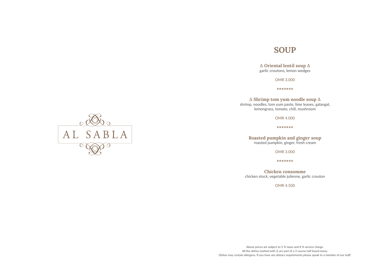# **SOUP**

**∆ Oriental lentil soup ∆** garlic croutons, lemon wedges

OMR 3.000

**\*\*\*\*\*\*\***

**∆ Shrimp tom yum noodle soup ∆**

shrimp, noodles, tom yum paste, lime leaves, galangal, lemongrass, tomato, chili, mushroom

OMR 4.000

**\*\*\*\*\*\*\***

**Roasted pumpkin and ginger soup** roasted pumpkin, ginger, fresh cream

OMR 3.000

**\*\*\*\*\*\*\***

**Chicken consomme**  chicken stock, vegetable julienne, garlic crouton

OMR 4.500





Dishes may contain allergens. If you have any dietary requirements please speak to a member of our staff.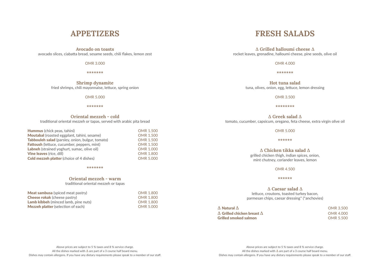# **FRESH SALADS**

**∆ Grilled halloumi cheese ∆** rocket leaves, grenadine, halloumi cheese, pine seeds, olive oil

OMR 4.000

**\*\*\*\*\*\*\***

**Hot tuna salad** tuna, olives, onion, egg, lettuce, lemon dressing

OMR 3.500

**\*\*\*\*\*\*\*\***

**∆ Greek salad ∆** tomato, cucumber, capsicum, oregano, feta cheese, extra virgin olive oil

**∆** Grilled chicken breast **∆** OMR 4.000 Grilled smoked salmon COMR 5.500

OMR 5.000

**\*\*\*\*\*\***

**∆ Chicken tikka salad ∆** grilled chicken thigh, indian spices, onion, mint chutney, coriander leaves, lemon

OMR 4.500

**\*\*\*\*\*\***

**∆ Caesar salad ∆** lettuce, croutons, toasted turkey bacon, parmesan chips, caesar dressing\* (\*anchovies)

**∆** Natural **∆** OMR 3.500

## **APPETIZERS**

## **Avocado on toasts**

avocado slices, ciabatta bread, sesame seeds, chili flakes, lemon zest

OMR 3.000

**\*\*\*\*\*\*\***

**Shrimp dynamite** fried shrimps, chili mayonnaise, lettuce, spring onion

OMR 5.000

## **\*\*\*\*\*\*\***

## **Oriental mezzeh - cold**

traditional oriental mezzeh or tapas, served with arabic pita bread

| Hummus (chick peas, tahini)                        | <b>OMR 1.500</b> |
|----------------------------------------------------|------------------|
| Moutabal (roasted eggplant, tahini, sesame)        | <b>OMR 1.500</b> |
| Tabbouleh salad (parsley, onion, bulgur, tomato)   | <b>OMR 1.500</b> |
| <b>Fattoush</b> (lettuce, cucumber, peppers, mint) | <b>OMR 1.500</b> |
| Labneh (strained yoghurt, sumac, olive oil)        | <b>OMR 1.000</b> |
| <b>Vine leaves (rice, dill)</b>                    | <b>OMR 1.800</b> |
| <b>Cold mezzeh platter (choice of 4 dishes)</b>    | <b>OMR 5.000</b> |

## **\*\*\*\*\*\*\***

## **Oriental mezzeh - warm**

traditional oriental mezzeh or tapas

| <b>Meat sambusa</b> (spiced meat pastry)    | OMR 1.800        |
|---------------------------------------------|------------------|
| <b>Cheese rokak</b> (cheese pastry)         | OMR 1.800        |
| <b>Lamb kibbeh</b> (minced lamb, pine nuts) | <b>OMR 1.800</b> |
| <b>Mezzeh platter</b> (selection of each)   | <b>OMR 5.000</b> |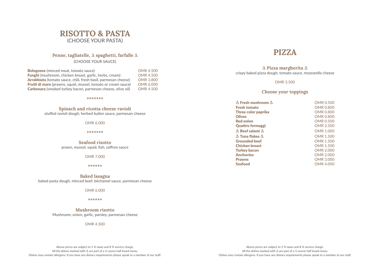# **PIZZA**

**∆ Pizza margherita ∆** crispy baked pizza dough, tomato sauce, mozzarella cheese

OMR 3.500

**Choose your toppings**

**∆ Fresh mushroom ∆** OMR 0.500<br> **Fresh tomato** OMR 0.800 Fresh tomato Three color paprika **COMR 0.800** Olives **OMR 0.800** Red onion CMR 0.500 **Quattro formaggi OMR 2.500 ∆** Beef salami **∆** OMR 1.000 **∆** Tuna flakes **∆** OMR 1.500 Grounded beef COMR 1.500 Chicken breast OMR 1.500 Turkey bacon **OMR 2.000** Anchovies **COMR 2.000** Prawns **Demand Accord Company of the Company of Company Company of the Company of Company of Company of Company of Company of Company of Company of Company of Company of Company of Company of Company of Company of Company** Seafood OMR 4.000

## **RISOTTO & PASTA** (CHOOSE YOUR PASTA)

## **Penne, tagliatelle, ∆ spaghetti, farfalle ∆**

(CHOOSE YOUR SAUCE)

| <b>Bolognese</b> (minced meat, tomato sauce)                         | <b>OMR 4.500</b> |
|----------------------------------------------------------------------|------------------|
| <b>Funghi</b> (mushroom, chicken breast, garlic, herbs, cream)       | <b>OMR 4.500</b> |
| Arrabbiata (tomato sauce, chili, fresh basil, parmesan cheese)       | <b>OMR 3.800</b> |
| <b>Frutti di mare</b> (prawns, squid, mussel, tomato or cream sauce) | <b>OMR 6.000</b> |
| <b>Carbonara</b> (smoked turkey bacon, parmesan cheese, olive oil)   | <b>OMR 4.500</b> |

**\*\*\*\*\*\*\***

**Spinach and ricotta cheese ravioli** stuffed ravioli dough, herbed butter sauce, parmesan cheese

OMR 6.000

**\*\*\*\*\*\*\***

**Seafood risotto** prawn, mussel, squid, fish, saffron sauce

OMR 7.000

**\*\*\*\*\*\***

**Baked lasagna** baked pasta dough, minced beef, béchamel sauce, parmesan cheese

OMR 6.000

## **\*\*\*\*\*\***

**Mushroom risotto** Mushroom, onion, garlic, parsley, parmesan cheese

OMR 4.500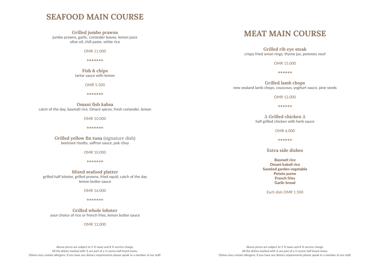# **MEAT MAIN COURSE**

**Grilled rib eye steak** crispy fried onion rings, thyme jus, pommes neuf

OMR 15.000

**\*\*\*\*\*\***

**Grilled lamb chops** new zealand lamb chops, couscous, yoghurt sauce, pine seeds

OMR 12.000

**\*\*\*\*\*\***

**∆ Grilled chicken ∆** half grilled chicken with herb sauce

OMR 6.000

jumbo prawns, garlic, coriander leaves, lemon juice olive oil, chili paste, white rice

**\*\*\*\*\*\***

**Extra side dishes**

Basmati rice Omani kabuli rice Sautéed garden vegetable Potato puree French fries Garlic bread

Each dish OMR 1.500

## **SEAFOOD MAIN COURSE**

## **Grilled jumbo prawns**

OMR 11.000

**\*\*\*\*\*\*\***

## **Fish & chips**

tartar sauce with lemon

OMR 5.500

**\*\*\*\*\*\*\***

**Omani fish kabsa** catch of the day, basmati rice, Omani spices, fresh coriander, lemon

OMR 10.000

**\*\*\*\*\*\*\***

## **Grilled yellow fin tuna** (signature dish) beetroot risotto, saffron sauce, pok choy

OMR 10.000

**\*\*\*\*\*\*\***

**Mixed seafood platter** grilled half lobster, grilled prawns, fried squid, catch of the day lemon butter sauce

OMR 16.000

**\*\*\*\*\*\*\***

**Grilled whole lobster** your choice of rice or french fries, lemon butter sauce

OMR 12.000

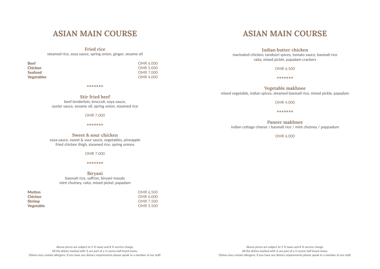## **Indian butter chicken**

marinated chicken, tandoori spices, tomato sauce, basmati rice raita, mixed pickle, papadam crackers

OMR 6.500

**\*\*\*\*\*\*\***

**Vegetable makhnee**

mixed vegetable, indian spices, steamed basmati rice, mixed pickle, papadam

OMR 4.000

Beef COMP COMP COMP OMR 6.000 **Chicken** OMR 5.000 Seafood OMR 7.000 Vegetables OMR 4.000

**\*\*\*\*\*\*\***

**Paneer makhnee** indian cottage cheese / basmati rice / mint chutney / poppadum

OMR 6.000

## **ASIAN MAIN COURSE**

**Fried rice** steamed rice, soya sauce, spring onion, ginger, sesame oil

**\*\*\*\*\*\*\***

**Stir fried beef**

beef tenderloin, broccoli, soya sauce, oyster sauce, sesame oil, spring onion, steamed rice

OMR 7.000

**\*\*\*\*\*\*\***

**Sweet & sour chicken** soya sauce, sweet & sour sauce, vegetables, pineapple fried chicken thigh, steamed rice, spring onions

OMR 7.000

**\*\*\*\*\*\*\***

**Biryani**

basmati rice, saffron, biryani masala mint chutney, raita, mixed pickel, papadam

| <b>OMR 6.500</b> |
|------------------|
| OMR 6.000        |
| OMR 7.500        |
| OMR 5.500        |
|                  |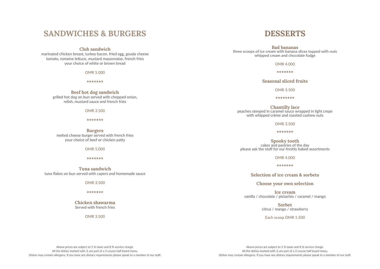# **DESSERTS**

**Bad bananas** three scoops of ice cream with banana slices topped with nuts whipped cream and chocolate fudge

**Chantilly lace** peaches steeped in caramel sauce wrapped in light crepe with whipped crème and roasted cashew nuts

OMR 4.000

**\*\*\*\*\*\*\***

**Seasonal sliced fruits**

OMR 3.500

**\*\*\*\*\*\*\*\***

OMR 3.500

**\*\*\*\*\*\*\***

**Spooky tooth** cakes and pastries of the day please ask the staff for our freshly baked assortments

OMR 4.000

**\*\*\*\*\*\*\***

**Selection of ice cream & sorbets**

**Choose your own selection**

**Ice cream** vanilla / chocolate / pistachio / caramel / mango

> **Sorbet** citrus / mango / strawberry

Each scoop OMR 1.500

## **SANDWICHES & BURGERS**

## **Club sandwich**

marinated chicken breast, turkey bacon, fried egg, gouda cheese tomato, romaine lettuce, mustard mayonnaise, french fries your choice of white or brown bread

OMR 5.000

**\*\*\*\*\*\*\***

## **Beef hot dog sandwich**

grilled hot dog on bun served with chopped onion, relish, mustard sauce and french fries

OMR 3.500

**\*\*\*\*\*\*\***

**Burgers** melted cheese burger served with french fries your choice of beef or chicken patty

OMR 5.000

**\*\*\*\*\*\*\***

**Tuna sandwich** tuna flakes on bun served with capers and homemade sauce

OMR 3.500

**\*\*\*\*\*\*\***

**Chicken shawarma** Served with french fries

OMR 3.500

Above prices are subject to 5 % taxes and 8 % service charge. All the dishes marked with **∆** are part of a 3 course half board menu. Dishes may contain allergens. If you have any dietary requirements please speak to a member of our staff.

Above prices are subject to 5 % taxes and 8 % service charge. All the dishes marked with **∆** are part of a 3 course half board menu. Dishes may contain allergens. If you have any dietary requirements please speak to a member of our staff.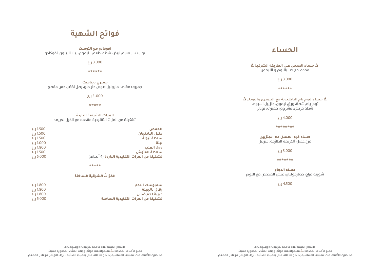## **الحساء**

**∆ حساء العدس على الطريقة الشرقية ∆** مقدم مع خبز بالثوم و الليمون  $5.13.000$ 

**\*\*\*\*\*\***

**∆ حساءالتوم يام التايالندية مع الجمبرى والنودلز ∆** توم يام شطة، ورق ليمون، جنزبيل اسيوى شطة فريش، مشروم، جمبرى، نودلز

 $5.14.000$ 

**\*\*\*\*\*\*\*\***

**حساء قرع العسل مع الجنزبيل**  قرع عسل، الكريمة الطازجة، جنزبيل

3.000 ر.ع

**\*\*\*\*\*\*\***

**حساء الدجاج** شوربة فراخ، خضارجوليان، عيش المحمص مع الثوم

 $5.14.500$ 



**افوكادو مع التوست**  توست، سمسم ابيض، شطة، طعم الليمون، زيت الزيتون، افوكادو

3.000 ر.ع

**\*\*\*\*\*\***

**جمبري ديناميت** جمبرى مقلى، مايونيز، صوص حار حلو، بصل اخضر، خس مقطع

 $5.000$ 

**\*\*\*\*\***

## **المزات الشرقية الباردة**

تشكيلة من المزات التقليدية مقدمه مع الخبز العربى

| 5.1500   | الحمص                                        |
|----------|----------------------------------------------|
| 5.1500   | متىل الىاذنجان                               |
| 5.1500   | سلطة تبولة                                   |
| 5.1000   | لىنة                                         |
| 5.1800   | ورق العنب                                    |
| 5.1500   | سلاطة الفتوش                                 |
| 5.15.000 | تشكيلة من المزات التقليدية الباردة (4 أصناف) |

**\*\*\*\*\***

## **َ الم ْ زات الشرقية الساخنة**

| سميوسك اللحم                       | 5.1800 |  |
|------------------------------------|--------|--|
| رقاق بالجبنة                       | 5.1800 |  |
| كبيبة لحم ضانى                     | 5.1800 |  |
| تشكيلة من المزات التقليدية الساخنة | 5.000  |  |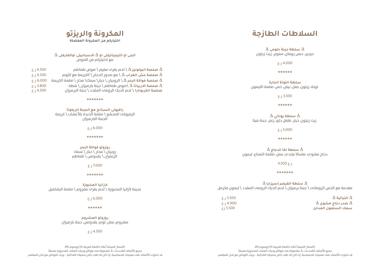# **السالطات الطازجة**

**∆ سلطة جبنة حلومى ∆** جرجير، دبس رور

 $\overline{O}$ 

**سلطة التونة الحارة** تونة، زيتون، بصل، ر

 $\overline{0}$ 

**∆ سلطة يوناني ∆** زيت زيتون، خيار، <sub>١</sub>

 $\overline{O}$ 

**∆ سلطة تكا الدجاج ∆** دجاج مشوي، ماساال هندي، بصل، صلصة النعناع، ليمون

ر.ع 4,500

**\*\*\*\*\*\*\***

**∆ سلطة القيصر )سيزار( ∆** مقدمة مع الخس الرومانى \ جبنة برميزان \ لحم الديك الرومى المقدد \ ليمون مكرمل

| 3.500 ر.ع |  |
|-----------|--|
| 4.900 ر.ع |  |
| 5.500 رع  |  |

**∆ النباتية ∆** 3.500 ر.ع **∆ صدر دجاج مشوى ∆** 4.900 ر.ع **سمك السلمون المدخن** 5.500 رع



| ے جینه خلومی $\Delta$<br>ومان، سنوبر، زیت زیتون                  | $\,\Delta\,$ البنى او التيجياتيللى او $\,\Delta\,$ الاسباجيتى اوالفارفلى $\,\Delta\,$                                                                                                                               |                                  |
|------------------------------------------------------------------|---------------------------------------------------------------------------------------------------------------------------------------------------------------------------------------------------------------------|----------------------------------|
| $\xi$ . J 4.000                                                  | مع اختياركم من الصوص                                                                                                                                                                                                |                                  |
| ******                                                           | صلصة البولونيز $\Delta$ \ لحم بقرب مفرم \ صوص طماطم $\Delta$<br>صلصة عش الغراب $\Delta$ \ مع صدور الدجاج \ الكريمة مع الثوم $\Delta$                                                                                | 5.14.500<br>2.14.500             |
| ة التونة الحارة<br>، بيض، خس، صلصة الليمون                       | صلصة فواكة البحر $\Lambda$ \ الروبيان \ حبار\ سمك\ محار \ ملصة الكريمة $\Delta$<br>صلصة الاربياتا $\Delta$ \صوص طماطم \ جبنة بار ميزان \ شطة $\Delta$<br>صلصة الكربونارا \ لحم الديك الرومب المقدد \ جبنة البرميزان | 5.16.000<br>5.13.800<br>5.14.500 |
| 5.13.500                                                         | *******                                                                                                                                                                                                             |                                  |
| ******                                                           |                                                                                                                                                                                                                     |                                  |
| $\Delta$ للطة يوناني<br>َ فَلَفَلِ حَلَو، زَعتَر، جَبِنَة فَيتَا | رافيولى السبانخ مع الجبنة الريكوتا<br>الرفيولم المحشو \ صلصة الذبدة بالأعشاب \ كريمة<br>الجبنة البار ميزان                                                                                                          |                                  |
| 5.000                                                            | 5.16.000                                                                                                                                                                                                            |                                  |
| ******                                                           | *******                                                                                                                                                                                                             |                                  |
| $\Delta$ علة تكا الدجاج<br>ندي، بصل، صلصة النعناع، ليمون         | روزوتو فواكة البحر<br>$\pm$ روبیان \ محار \ حبار \ سمك<br>الزعفران \ بقدونس \ طماطم                                                                                                                                 |                                  |

**\*\*\*\*\*\*\***

 $5.16.000$ 

**الزانيا المخبوزة** عجينة الزانيا المخبوزة \ لحم بقرى مفروم \ صلصة البشاميل

 $5.17.000$ 

**\*\*\*\*\*\***

**روزوتو المشروم** مشروم، بصل، ثوم، بقدونس، جبنة بارميزان

4.500 ر.ع

االسعار المبينة أعاله خاضعة لضريبة 5% ورسوم 8% جميع الأصناف المُحددة بـ ∆ مشمولة فم قوائم وجبات العشاء المحجوزة مسبقاً. قد تحتوى األصناف على مسببات للحساسية. إذا كان لك طلب خاص بحميتك الغذائية ، برجاء التواصل مع نادل المطعم.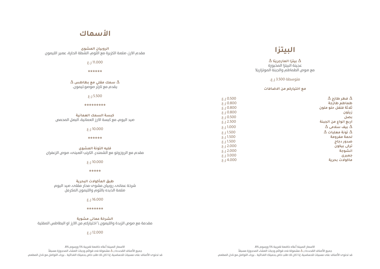

## **األسماك**

**الروبيان المشوى** مقدم االرز، صلصة الكزبرة مع الثوم، الشطة الحارة، عصير الليمون

| 11.000 ر.ع<br>******                                                                               |                                                                           | $\Delta$ بيتزا المارجريتا $\Delta$<br>عجينة البيتزا المخبوزة<br>مع صوص الطماطم والجبنة الموتزاريلا |
|----------------------------------------------------------------------------------------------------|---------------------------------------------------------------------------|----------------------------------------------------------------------------------------------------|
| $\Delta$ سمك مقلى مع بطاطس $\Delta$<br>يقدم مع تارتر صوصو.ليمون.                                   |                                                                           | متوسطة 3.500 ر.ع.<br>مع اختياركم من الاضافات                                                       |
| 5.500                                                                                              | 0.500 L.3                                                                 | $\Delta$ فطر طازج $\Delta$                                                                         |
| *********                                                                                          | 0.800 ل.ع<br>0.800 ل.ع                                                    | طماطم طازجة<br>ثلاثة فلفل حلو ملون                                                                 |
| كبسة السمك العمانية<br>صيد اليوم، مع كبسة الارز العمانية، البصل المحمص                             | 0.800 ل.ع<br>0.500 L.3<br>E.J.2.500                                       | زيتون<br>بصل<br>اربع انواع من الجبنة                                                               |
| 10.000 ر.ع                                                                                         | 1.000 ل.ع                                                                 | $\Delta$ بيف سلامي $\Delta$                                                                        |
| ******                                                                                             | $\xi$ .J 1.500<br>E.J.1.500                                               | $\Delta$ تونة معلبات $\Delta$<br>لحمة مفرومة                                                       |
| فليه التونة المشوى<br>مقدم مع الروزوتو مع الشمندر، الكرنب الصينم، صوص الزعفران<br>$\xi$ . J 10.000 | $\xi$ -J 1.500<br>E.J.2.000<br>2.000 ل.ع<br>3.000 ل.ع<br>$\xi$ -J $4.000$ | صدور دجاج<br>ترکی بیکون<br>انشوجة<br>جمبری<br>ماكولات بحرية                                        |
|                                                                                                    |                                                                           |                                                                                                    |

**\*\*\*\*\***

**طبق المأكوالت البحرية** شرخة عمانى، روبيان مشوى محار مقلى، صيد اليوم صلصة الذبده بالثوم والليمون المكرمل

 $5.16.000$ 

## **\*\*\*\*\*\*\***

**الشرخة عمانى مشوية** مقدمة مع صوص الزبدة والليمون \ اختياركم من االرز او البطاطس المقلية

## $5.12.000$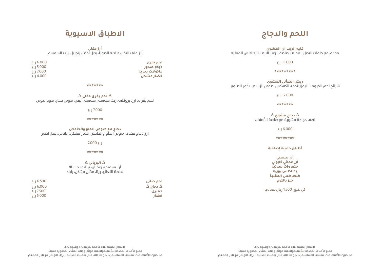# **اللحم والدجاج**

**فليه الريب آى المشوى** مقدم مع حلقات البصل المقلى، صلصة الزعتر البرى، البطاطس المقلية

 $5.115.000$ 

**\*\*\*\*\*\*\*\*\***

**ريش الضأنى المشوى** شرائح لحم الخروف النيوزيلندي، الكسكس، صوص الزبادي، بذور الصنوبر

 $5.12.000$ 

**\*\*\*\*\*\*\***

**∆ دجاج مشوي ∆** نصف دجاجة مشوية مع صلصة األعشاب

6.000 ر.ع

**\*\*\*\*\*\*\*\***

**أطباق جانبية إضافية**

**أرز بسمتي أرز عماني كابولي خضروات سوتيه بطاطس بوريه البطاطس المقلية خبز بالثوم**

كل طبق 1.500 ريال عماني

# **االطباق االسيوية**

**أرز مقلي** أرز على البخار، صلصة الصويا، بصل أخضر، زنجبيل، زيت السمسم

**لحم بقرى** 6.000 ر.ع **دجاج صدور** 5.000 ر.ع **ماكوالت بحرية** 7.000 ر.ع **خضار مشكل** 4.000 ر.ع

**\*\*\*\*\*\*\***

**∆ لحم بقرى مقلى ∆** لحم بقرى، ارز، بروكلى، زيت سمسم، سمسم ابيض، صوص محار، صويا صوص

 $5.17.000$ 

**\*\*\*\*\*\*\***

**دجاج مع صوص الحلو والحامض** ارز,دجاج مقلى، صوص الحلو والحامض، خضار مشكل، اناناس، بصل اخضر

 $7.000 \, \epsilon$ .

**\*\*\*\*\*\*\***

**∆ البريانى ∆** أرز بسمتي، زعفران، برياني ماساال صلصة النعناع، ريتا، مخلل مشكل، باباد

| 5.16.500             | الحم ضاني              |
|----------------------|------------------------|
| 5.16.000             | $\Delta$ دجاج $\Delta$ |
| ار بار بار ج $1.500$ | جمبری                  |
| 3.000 ل              | خضار                   |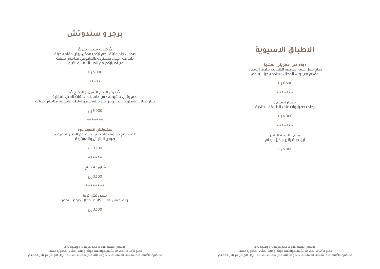# **االطباق االسيوية**

**مخنى الجبنة البانير** ارز، جبنة بانير و خبز بابدام

6.000 ر.ع

# **برجر و سندوتش**

| مع أختياركم من الخبز البنم أو الابيض                                                                                                                                                                                                                                                                                                                                                                                                             | دجاج على الطريقى الهندية                                                              |
|--------------------------------------------------------------------------------------------------------------------------------------------------------------------------------------------------------------------------------------------------------------------------------------------------------------------------------------------------------------------------------------------------------------------------------------------------|---------------------------------------------------------------------------------------|
| 5.000                                                                                                                                                                                                                                                                                                                                                                                                                                            | دجاج متبل على الطريقة الهندية، صلصة المخنب<br>مقدم مع روب، المخلل الهندم، خبز الببردم |
| *****                                                                                                                                                                                                                                                                                                                                                                                                                                            | 5.16.500                                                                              |
| $\,\Delta\,$ برجر اللحم البقرى والدجاج $\,\Delta\,$<br>لحم بقري مشوح، خس، طماطم، حلقات البصل المقلية                                                                                                                                                                                                                                                                                                                                             | *******                                                                               |
| خيار مخلل، مسطردة بالمايونيز، خبز بالسمسم، سلطة ملفوف، بطاطس مقلية                                                                                                                                                                                                                                                                                                                                                                               | خضار المخنى                                                                           |
| 5.000                                                                                                                                                                                                                                                                                                                                                                                                                                            | يخنم خضراروات علم الطريقة الهندية                                                     |
| *******                                                                                                                                                                                                                                                                                                                                                                                                                                          | 4.000 ر.ع                                                                             |
| سندوتش الهوت دوج<br>$\mathbf{A} = \mathbf{A} + \mathbf{A} + \mathbf{A} + \mathbf{A} + \mathbf{A} + \mathbf{A} + \mathbf{A} + \mathbf{A} + \mathbf{A} + \mathbf{A} + \mathbf{A} + \mathbf{A} + \mathbf{A} + \mathbf{A} + \mathbf{A} + \mathbf{A} + \mathbf{A} + \mathbf{A} + \mathbf{A} + \mathbf{A} + \mathbf{A} + \mathbf{A} + \mathbf{A} + \mathbf{A} + \mathbf{A} + \mathbf{A} + \mathbf{A} + \mathbf{A} + \mathbf{A} + \mathbf{A} + \mathbf$ | *******                                                                               |
|                                                                                                                                                                                                                                                                                                                                                                                                                                                  |                                                                                       |

**∆ كلوب سندوتش ∆** صدور دجاج متبلة، لحم تركي مدخن، بيض مقلى، جبنة طماطم، خس، مسطردة بالمايونيز، بطاطس مقلية

هوت دوج مشوي على خبز يقدم مع البصل المفروم، صوص الراليش والمستردة

3.500 ر.ع

**\*\*\*\*\*\***

**شاورمة دجاج,**

 $5.13.500$ 

**\*\*\*\*\*\*\*\***

**سندوتش تونة** تونة، عيش باجيت، كابرى مخلل، صوص ليمون

3.500 ر.ع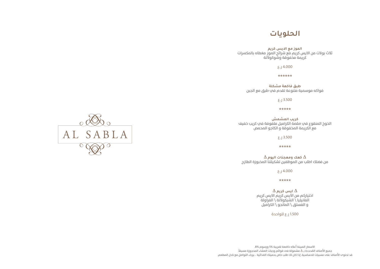# **الحلويات**

**الموز مع االيس كريم** ثالث بوالت من االيس كريم مع شرائح الموز مغطاه بالمكسرات كريمة مخفوقة وشوكوالتة

4.000 ر.ع

**\*\*\*\*\*\***

**طبق فاكهة مشكلة** فواكه موسمية متنوعة تقدم في طبق مع الجبن

3.500 ر.ع

**\*\*\*\*\***

**كريب المشمش** الخوخ المنقوع في صلصة الكراميل ملفوفة في كريب خفيف مع الكريمة المخفوقة و الكاجو المحمص

3.500 ر.ع

**\*\*\*\*\***

**∆ كعك ومعجنات اليوم ∆** من فضلك اطلب من الموظفين تشكيلتنا المخبوزة الطازج

4.000 ر.ع

**\*\*\*\*\***

**∆ ايس كريم ∆** اختياركم من االيس كريم االيس كريم الفانيليا \ الشيكوالتة \ الفراولة

و الفستق \ المانجو \ الكراميل

1.500 ر.ع للواحدة